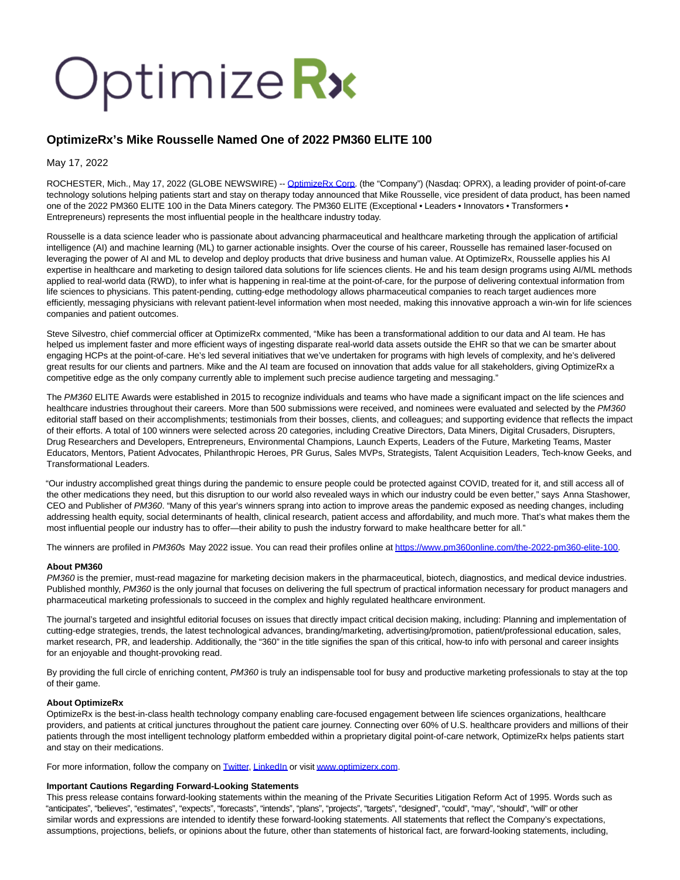# Optimize Rx

# **OptimizeRx's Mike Rousselle Named One of 2022 PM360 ELITE 100**

May 17, 2022

ROCHESTER, Mich., May 17, 2022 (GLOBE NEWSWIRE) -- [OptimizeRx Corp.](https://www.globenewswire.com/Tracker?data=wZubeXb2X10MkrbOwBexufQ4d7lZTiy0909RwFZsDF9xzGIEoLZEipg8-SS57rJrPjMzTFnwZVubITO9VhbSpQ==) (the "Company") (Nasdaq: OPRX), a leading provider of point-of-care technology solutions helping patients start and stay on therapy today announced that Mike Rousselle, vice president of data product, has been named one of the 2022 PM360 ELITE 100 in the Data Miners category. The PM360 ELITE (Exceptional • Leaders • Innovators • Transformers • Entrepreneurs) represents the most influential people in the healthcare industry today.

Rousselle is a data science leader who is passionate about advancing pharmaceutical and healthcare marketing through the application of artificial intelligence (AI) and machine learning (ML) to garner actionable insights. Over the course of his career, Rousselle has remained laser-focused on leveraging the power of AI and ML to develop and deploy products that drive business and human value. At OptimizeRx, Rousselle applies his AI expertise in healthcare and marketing to design tailored data solutions for life sciences clients. He and his team design programs using AI/ML methods applied to real-world data (RWD), to infer what is happening in real-time at the point-of-care, for the purpose of delivering contextual information from life sciences to physicians. This patent-pending, cutting-edge methodology allows pharmaceutical companies to reach target audiences more efficiently, messaging physicians with relevant patient-level information when most needed, making this innovative approach a win-win for life sciences companies and patient outcomes.

Steve Silvestro, chief commercial officer at OptimizeRx commented, "Mike has been a transformational addition to our data and AI team. He has helped us implement faster and more efficient ways of ingesting disparate real-world data assets outside the EHR so that we can be smarter about engaging HCPs at the point-of-care. He's led several initiatives that we've undertaken for programs with high levels of complexity, and he's delivered great results for our clients and partners. Mike and the AI team are focused on innovation that adds value for all stakeholders, giving OptimizeRx a competitive edge as the only company currently able to implement such precise audience targeting and messaging."

The PM360 ELITE Awards were established in 2015 to recognize individuals and teams who have made a significant impact on the life sciences and healthcare industries throughout their careers. More than 500 submissions were received, and nominees were evaluated and selected by the PM360 editorial staff based on their accomplishments; testimonials from their bosses, clients, and colleagues; and supporting evidence that reflects the impact of their efforts. A total of 100 winners were selected across 20 categories, including Creative Directors, Data Miners, Digital Crusaders, Disrupters, Drug Researchers and Developers, Entrepreneurs, Environmental Champions, Launch Experts, Leaders of the Future, Marketing Teams, Master Educators, Mentors, Patient Advocates, Philanthropic Heroes, PR Gurus, Sales MVPs, Strategists, Talent Acquisition Leaders, Tech-know Geeks, and Transformational Leaders.

"Our industry accomplished great things during the pandemic to ensure people could be protected against COVID, treated for it, and still access all of the other medications they need, but this disruption to our world also revealed ways in which our industry could be even better," says Anna Stashower, CEO and Publisher of PM360. "Many of this year's winners sprang into action to improve areas the pandemic exposed as needing changes, including addressing health equity, social determinants of health, clinical research, patient access and affordability, and much more. That's what makes them the most influential people our industry has to offer—their ability to push the industry forward to make healthcare better for all."

The winners are profiled in PM360s May 2022 issue. You can read their profiles online at [https://www.pm360online.com/the-2022-pm360-elite-100.](https://www.globenewswire.com/Tracker?data=GBPVG8VwkUbbx9YT4YwwuC2Ez78AO5Ypab5BV-gV_aQHCfs_C8cyWbWaYGOxezdx64qV2IBfmSmhKfmGnVS-iCChPGBSFUY77H_9e85X1dZoFgvB_KLS2MkBQ-3sALRF6W-jKNg71hUGuZknQ8TMZDPHNHHIZXYreIgYx38MSFQ=)

### **About PM360**

PM360 is the premier, must-read magazine for marketing decision makers in the pharmaceutical, biotech, diagnostics, and medical device industries. Published monthly, PM360 is the only journal that focuses on delivering the full spectrum of practical information necessary for product managers and pharmaceutical marketing professionals to succeed in the complex and highly regulated healthcare environment.

The journal's targeted and insightful editorial focuses on issues that directly impact critical decision making, including: Planning and implementation of cutting-edge strategies, trends, the latest technological advances, branding/marketing, advertising/promotion, patient/professional education, sales, market research, PR, and leadership. Additionally, the "360" in the title signifies the span of this critical, how-to info with personal and career insights for an enjoyable and thought-provoking read.

By providing the full circle of enriching content, PM360 is truly an indispensable tool for busy and productive marketing professionals to stay at the top of their game.

### **About OptimizeRx**

OptimizeRx is the best-in-class health technology company enabling care-focused engagement between life sciences organizations, healthcare providers, and patients at critical junctures throughout the patient care journey. Connecting over 60% of U.S. healthcare providers and millions of their patients through the most intelligent technology platform embedded within a proprietary digital point-of-care network, OptimizeRx helps patients start and stay on their medications.

For more information, follow the company on **Twitter, LinkedIn** or visit www.optimizerx.com.

## **Important Cautions Regarding Forward-Looking Statements**

This press release contains forward-looking statements within the meaning of the Private Securities Litigation Reform Act of 1995. Words such as "anticipates", "believes", "estimates", "expects", "forecasts", "intends", "plans", "projects", "targets", "designed", "could", "may", "should", "will" or other similar words and expressions are intended to identify these forward-looking statements. All statements that reflect the Company's expectations, assumptions, projections, beliefs, or opinions about the future, other than statements of historical fact, are forward-looking statements, including,